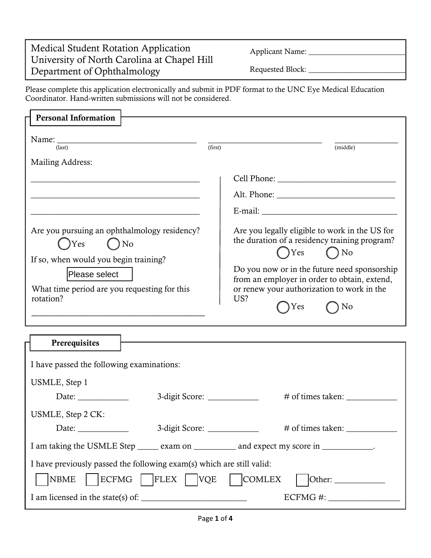## Medical Student Rotation Application University of North Carolina at Chapel Hill Department of Ophthalmology

Applicant Name: \_\_\_\_\_\_\_\_\_\_\_\_\_\_\_\_\_\_\_\_\_\_\_\_\_

j

Requested Block: \_\_\_\_\_\_\_\_\_\_\_\_\_\_\_\_\_\_\_\_\_\_\_\_\_

Please complete this application electronically and submit in PDF format to the UNC Eye Medical Education Coordinator. Hand-written submissions will not be considered.

| <b>Personal Information</b>                                                                                                                                                                                                                                                                                         |                                                                                                                                                                                                                                                                                                 |
|---------------------------------------------------------------------------------------------------------------------------------------------------------------------------------------------------------------------------------------------------------------------------------------------------------------------|-------------------------------------------------------------------------------------------------------------------------------------------------------------------------------------------------------------------------------------------------------------------------------------------------|
| $\text{(last)}$<br>Mailing Address:                                                                                                                                                                                                                                                                                 | (first)<br>(middle)                                                                                                                                                                                                                                                                             |
| <u> 1989 - Johann Stoff, deutscher Stoff, der Stoff, der Stoff, der Stoff, der Stoff, der Stoff, der Stoff, der S</u><br>Are you pursuing an ophthalmology residency?<br>$\bigcap$ No<br>Yes<br>If so, when would you begin training?<br>Please select<br>What time period are you requesting for this<br>rotation? | Are you legally eligible to work in the US for<br>the duration of a residency training program?<br>$\bigcap$ Yes $\bigcap$ No<br>Do you now or in the future need sponsorship<br>from an employer in order to obtain, extend,<br>or renew your authorization to work in the<br>US?<br>Yes<br>No |
| Prerequisites                                                                                                                                                                                                                                                                                                       |                                                                                                                                                                                                                                                                                                 |
| I have passed the following examinations:                                                                                                                                                                                                                                                                           |                                                                                                                                                                                                                                                                                                 |
| USMLE, Step 1<br>Date: $\frac{1}{\sqrt{1-\frac{1}{2}}\sqrt{1-\frac{1}{2}}\left\vert \frac{1}{2}+1\right\vert }$                                                                                                                                                                                                     | 3-digit Score: ______________<br># of times taken:                                                                                                                                                                                                                                              |
| USMLE, Step 2 CK:<br>Date: $\_\_$                                                                                                                                                                                                                                                                                   | 3-digit Score: ______________                                                                                                                                                                                                                                                                   |
| I am taking the USMLE Step ______ exam on ____________ and expect my score in ___________.                                                                                                                                                                                                                          |                                                                                                                                                                                                                                                                                                 |
| I have previously passed the following exam(s) which are still valid:<br><b>ECFMG</b><br><b>NBME</b><br><b>FLEX</b>                                                                                                                                                                                                 | <b>VQE</b><br><b>COMLEX</b><br>Other:                                                                                                                                                                                                                                                           |

I am licensed in the state(s) of: \_\_\_\_\_\_\_\_\_\_\_\_\_\_\_\_\_\_\_\_\_\_\_\_\_ ECFMG #: \_\_\_\_\_\_\_\_\_\_\_\_\_\_\_\_\_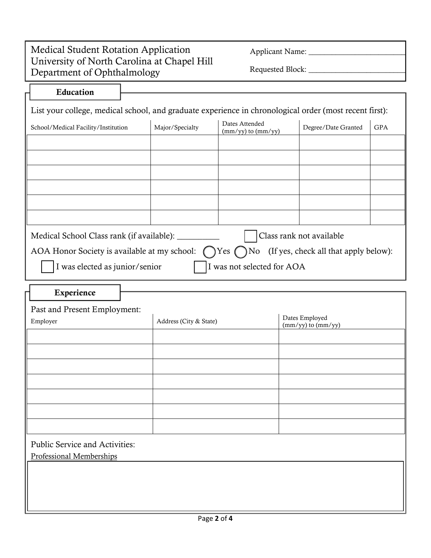## Medical Student Rotation Application University of North Carolina at Chapel Hill Department of Ophthalmology

╤

and the control of the control of the control of

 $\overline{r}$ 

Applicant Name: \_\_\_\_\_\_\_\_\_\_\_\_\_\_\_\_\_\_\_\_\_\_\_\_\_

 $\overline{a}$ 

Requested Block: \_\_\_\_\_\_\_\_\_\_\_\_\_\_\_\_\_\_\_\_\_\_\_\_\_

| Education                                                                                                     |                 |                                          |                          |            |
|---------------------------------------------------------------------------------------------------------------|-----------------|------------------------------------------|--------------------------|------------|
| List your college, medical school, and graduate experience in chronological order (most recent first):        |                 |                                          |                          |            |
| School/Medical Facility/Institution                                                                           | Major/Specialty | Dates Attended<br>$(mm/yy)$ to $(mm/yy)$ | Degree/Date Granted      | <b>GPA</b> |
|                                                                                                               |                 |                                          |                          |            |
|                                                                                                               |                 |                                          |                          |            |
|                                                                                                               |                 |                                          |                          |            |
|                                                                                                               |                 |                                          |                          |            |
|                                                                                                               |                 |                                          |                          |            |
| Medical School Class rank (if available): _______                                                             |                 |                                          | Class rank not available |            |
| AOA Honor Society is available at my school: $\bigcap$ Yes $\bigcap$ No (If yes, check all that apply below): |                 |                                          |                          |            |
| I was elected as junior/senior                                                                                |                 | I was not selected for AOA               |                          |            |
| Experience                                                                                                    |                 |                                          |                          |            |

| Past and Present Employment:    |                        |                                                     |  |  |  |
|---------------------------------|------------------------|-----------------------------------------------------|--|--|--|
| Employer                        | Address (City & State) | Dates Employed<br>$\frac{mm/yy}{to} \frac{mm/yy}{}$ |  |  |  |
|                                 |                        |                                                     |  |  |  |
|                                 |                        |                                                     |  |  |  |
|                                 |                        |                                                     |  |  |  |
|                                 |                        |                                                     |  |  |  |
|                                 |                        |                                                     |  |  |  |
|                                 |                        |                                                     |  |  |  |
|                                 |                        |                                                     |  |  |  |
| Public Service and Activities:  |                        |                                                     |  |  |  |
| <b>Professional Memberships</b> |                        |                                                     |  |  |  |
|                                 |                        |                                                     |  |  |  |
|                                 |                        |                                                     |  |  |  |
|                                 |                        |                                                     |  |  |  |
|                                 |                        |                                                     |  |  |  |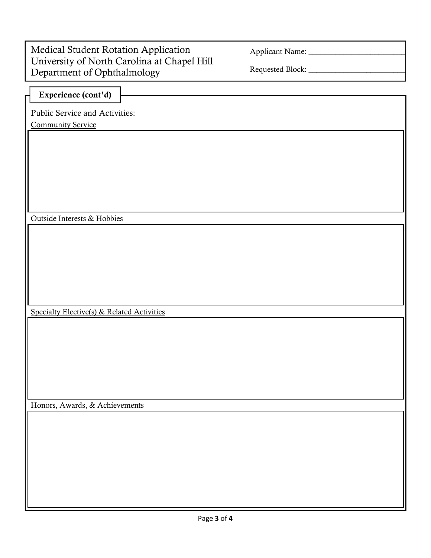| <b>Medical Student Rotation Application</b> |
|---------------------------------------------|
| University of North Carolina at Chapel Hill |
| Department of Ophthalmology                 |

Applicant Name: \_\_\_\_\_\_\_\_\_\_\_\_\_\_\_\_\_\_\_\_\_\_\_\_\_

 $\overline{a}$ 

Requested Block: \_\_\_\_\_\_\_\_\_\_\_\_\_\_\_\_\_\_\_\_\_\_\_\_\_

| Public Service and Activities:<br><b>Community Service</b> |  |
|------------------------------------------------------------|--|
|                                                            |  |
|                                                            |  |
|                                                            |  |
|                                                            |  |
|                                                            |  |
|                                                            |  |
|                                                            |  |
| Outside Interests & Hobbies                                |  |
|                                                            |  |
|                                                            |  |
|                                                            |  |
|                                                            |  |
|                                                            |  |
| Specialty Elective(s) & Related Activities                 |  |
|                                                            |  |
|                                                            |  |
|                                                            |  |
|                                                            |  |
|                                                            |  |
|                                                            |  |
| Honors, Awards, & Achievements                             |  |
|                                                            |  |
|                                                            |  |
|                                                            |  |
|                                                            |  |
|                                                            |  |
|                                                            |  |